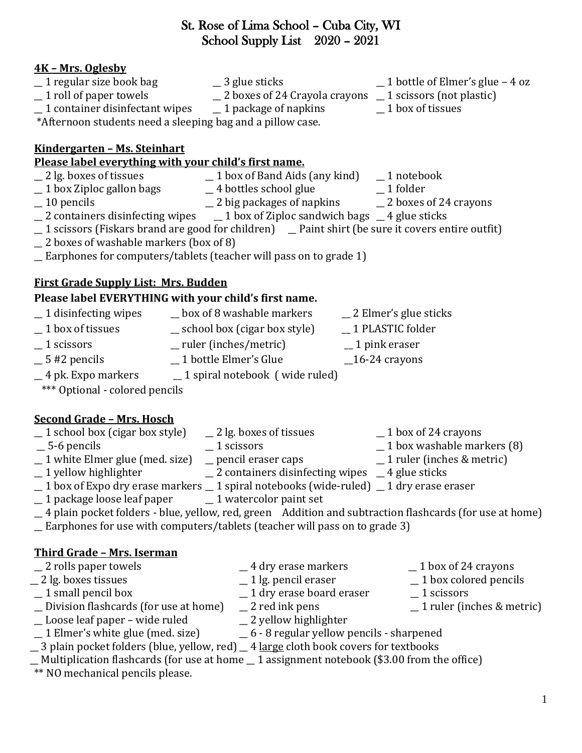## St. Rose of Lima School – Cuba City, WI School Supply List 2020 – 2021

## **4K – Mrs. Oglesby**

- \_\_ 1 regular size book bag \_\_ 3 glue sticks \_\_ 1 bottle of Elmer's glue 4 oz
- 
- 
- \_\_ 1 roll of paper towels \_\_ 2 boxes of 24 Crayola crayons \_\_ 1 scissors (not plastic)
	-
- $\_$  1 container disinfectant wipes  $\_$  1 package of napkins  $\_$  1 box of tissues \*Afternoon students need a sleeping bag and a pillow case.

### **Kindergarten – Ms. Steinhart**

# **Please label everything with your child's first name.**<br>  $\begin{array}{r} \_ 2 \text{ lg. boxes of tissues} \\ \_ 1 \text{ box of Band Aids} \end{array}$

- 
- \_\_ 2 lg. boxes of tissues \_\_ 1 box of Band Aids (any kind) \_\_ 1 notebook
	- $-4$  bottles school glue
	-
- 
- $\_$  10 pencils  $\_$  2 big packages of napkins  $\_$  2 boxes of 24 crayons  $\_$  2 containers disinfecting wipes  $\_$  1 box of Ziploc sandwich bags  $\_$  4 glue sticks  $\_$  1 box of Ziploc sandwich bags  $\_$  4 glue sticks
- \_\_ 1 scissors (Fiskars brand are good for children) \_\_ Paint shirt (be sure it covers entire outfit)
- \_\_ 2 boxes of washable markers (box of 8)
- \_\_ Earphones for computers/tablets (teacher will pass on to grade 1)

# **First Grade Supply List: Mrs. Budden**

## **Please label EVERYTHING with your child's first name.**

- $\_$  1 disinfecting wipes  $\_$  box of 8 washable markers  $\_$  2 Elmer's glue sticks \_\_ 1 box of tissues \_\_ school box (cigar box style) \_\_ 1 PLASTIC folder \_\_ 1 scissors \_\_ ruler (inches/metric) \_\_ 1 pink eraser \_\_ 5 #2 pencils \_\_ 1 bottle Elmer's Glue \_\_16-24 crayons \_\_ 4 pk. Expo markers \_\_ 1 spiral notebook ( wide ruled)
- \*\*\* Optional colored pencils

## **Second Grade – Mrs. Hosch**

- $\_$  1 school box (cigar box style)  $\_$  2 lg. boxes of tissues  $\_$  1 box of 24 crayons
- 
- 
- $\_$  1 white Elmer glue (med. size)  $\_$  pencil eraser caps  $\_$  1 yellow highlighter  $\_$  2 containers disinfect
- 
- \_\_ 1 box of Expo dry erase markers \_\_ 1 spiral notebooks (wide-ruled) \_\_ 1 dry erase eraser
- \_\_ 1 package loose leaf paper \_\_ 1 watercolor paint set
- \_\_ 4 plain pocket folders blue, yellow, red, green Addition and subtraction flashcards (for use at home)
- \_\_ Earphones for use with computers/tablets (teacher will pass on to grade 3)

## **Third Grade – Mrs. Iserman**

- 2 rolls paper towels 2 and  $\frac{1}{2}$  4 dry erase markers 2 box of 24 crayons \_\_ 2 lg. boxes tissues \_\_ 1 lg. pencil eraser \_\_ 1 box colored pencils  $\overline{\phantom{a}}$  1 dry erase board eraser
- 
- \_\_ Division flashcards (for use at home) \_\_ 2 red ink pens \_\_ 1 ruler (inches & metric)
- \_\_ Loose leaf paper wide ruled \_\_ 2 yellow highlighter
- \_\_ 1 Elmer's white glue (med. size) \_\_ 6 8 regular yellow pencils sharpened
- \_\_ 3 plain pocket folders (blue, yellow, red)\_\_ 4 large cloth book covers for textbooks
- $\_$  Multiplication flashcards (for use at home  $\_$  1 assignment notebook (\$3.00 from the office)
- \*\* NO mechanical pencils please.
- 
- 
- 
- 
- -
	-
- 
- - -
- 
- $\_$  5-6 pencils  $\_$  1 scissors  $\_$  1 scissors  $\_$  1 box washable markers (8)  $\_$  1 white Elmer glue (med. size)  $\_$  pencil eraser caps  $\_$  1 ruler (inches & metric)
	-
	-
	-
	- -
	- $\frac{1}{2}$  containers disinfecting wipes  $\frac{1}{2}$  4 glue sticks
		-